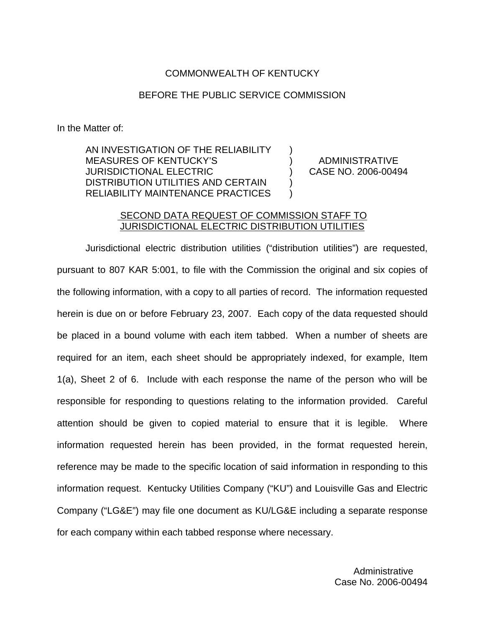### COMMONWEALTH OF KENTUCKY

### BEFORE THE PUBLIC SERVICE COMMISSION

) )  $\lambda$ ) )

In the Matter of:

AN INVESTIGATION OF THE RELIABILITY MEASURES OF KENTUCKY'S JURISDICTIONAL ELECTRIC DISTRIBUTION UTILITIES AND CERTAIN RELIABILITY MAINTENANCE PRACTICES

ADMINISTRATIVE CASE NO. 2006-00494

### SECOND DATA REQUEST OF COMMISSION STAFF TO JURISDICTIONAL ELECTRIC DISTRIBUTION UTILITIES

Jurisdictional electric distribution utilities ("distribution utilities") are requested, pursuant to 807 KAR 5:001, to file with the Commission the original and six copies of the following information, with a copy to all parties of record. The information requested herein is due on or before February 23, 2007. Each copy of the data requested should be placed in a bound volume with each item tabbed. When a number of sheets are required for an item, each sheet should be appropriately indexed, for example, Item 1(a), Sheet 2 of 6. Include with each response the name of the person who will be responsible for responding to questions relating to the information provided. Careful attention should be given to copied material to ensure that it is legible. Where information requested herein has been provided, in the format requested herein, reference may be made to the specific location of said information in responding to this information request. Kentucky Utilities Company ("KU") and Louisville Gas and Electric Company ("LG&E") may file one document as KU/LG&E including a separate response for each company within each tabbed response where necessary.

> Administrative Case No. 2006-00494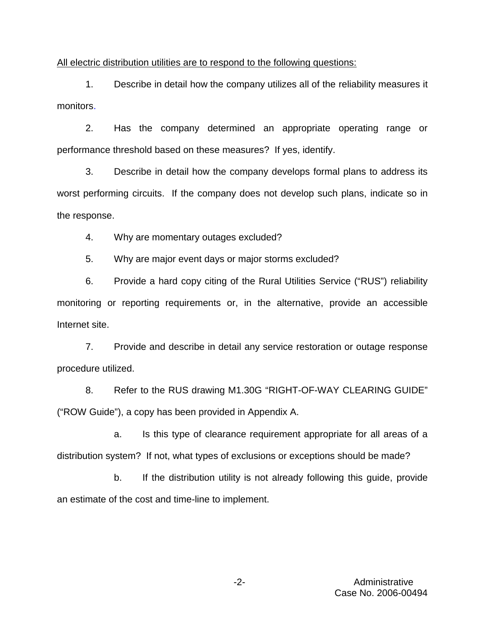All electric distribution utilities are to respond to the following questions:

1. Describe in detail how the company utilizes all of the reliability measures it monitors.

2. Has the company determined an appropriate operating range or performance threshold based on these measures? If yes, identify.

3. Describe in detail how the company develops formal plans to address its worst performing circuits. If the company does not develop such plans, indicate so in the response.

4. Why are momentary outages excluded?

5. Why are major event days or major storms excluded?

6. Provide a hard copy citing of the Rural Utilities Service ("RUS") reliability monitoring or reporting requirements or, in the alternative, provide an accessible Internet site.

7. Provide and describe in detail any service restoration or outage response procedure utilized.

8. Refer to the RUS drawing M1.30G "RIGHT-OF-WAY CLEARING GUIDE" ("ROW Guide"), a copy has been provided in Appendix A.

a. Is this type of clearance requirement appropriate for all areas of a distribution system? If not, what types of exclusions or exceptions should be made?

b. If the distribution utility is not already following this guide, provide an estimate of the cost and time-line to implement.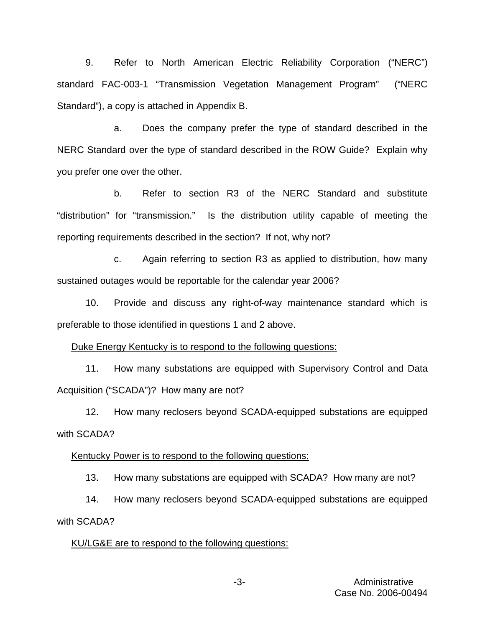9. Refer to North American Electric Reliability Corporation ("NERC") standard FAC-003-1 "Transmission Vegetation Management Program" ("NERC Standard"), a copy is attached in Appendix B.

a. Does the company prefer the type of standard described in the NERC Standard over the type of standard described in the ROW Guide? Explain why you prefer one over the other.

b. Refer to section R3 of the NERC Standard and substitute "distribution" for "transmission." Is the distribution utility capable of meeting the reporting requirements described in the section? If not, why not?

c. Again referring to section R3 as applied to distribution, how many sustained outages would be reportable for the calendar year 2006?

10. Provide and discuss any right-of-way maintenance standard which is preferable to those identified in questions 1 and 2 above.

Duke Energy Kentucky is to respond to the following questions:

11. How many substations are equipped with Supervisory Control and Data Acquisition ("SCADA")? How many are not?

12. How many reclosers beyond SCADA-equipped substations are equipped with SCADA?

Kentucky Power is to respond to the following questions:

13. How many substations are equipped with SCADA? How many are not?

14. How many reclosers beyond SCADA-equipped substations are equipped with SCADA?

#### KU/LG&E are to respond to the following questions: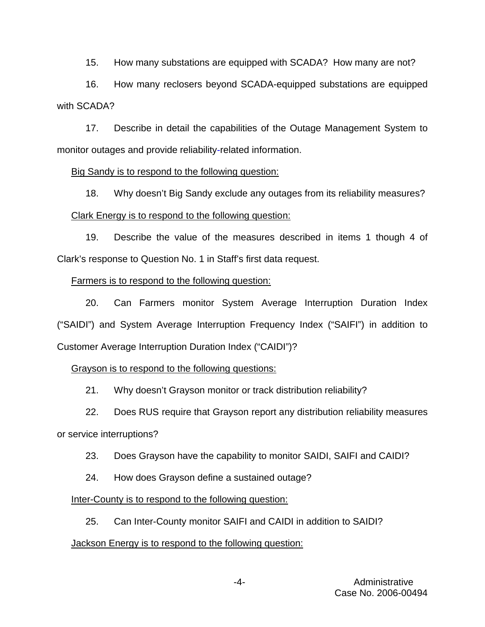15. How many substations are equipped with SCADA? How many are not?

16. How many reclosers beyond SCADA-equipped substations are equipped with SCADA?

17. Describe in detail the capabilities of the Outage Management System to monitor outages and provide reliability-related information.

## Big Sandy is to respond to the following question:

18. Why doesn't Big Sandy exclude any outages from its reliability measures? Clark Energy is to respond to the following question:

19. Describe the value of the measures described in items 1 though 4 of Clark's response to Question No. 1 in Staff's first data request.

# Farmers is to respond to the following question:

20. Can Farmers monitor System Average Interruption Duration Index ("SAIDI") and System Average Interruption Frequency Index ("SAIFI") in addition to Customer Average Interruption Duration Index ("CAIDI")?

# Grayson is to respond to the following questions:

21. Why doesn't Grayson monitor or track distribution reliability?

22. Does RUS require that Grayson report any distribution reliability measures

or service interruptions?

- 23. Does Grayson have the capability to monitor SAIDI, SAIFI and CAIDI?
- 24. How does Grayson define a sustained outage?

# Inter-County is to respond to the following question:

25. Can Inter-County monitor SAIFI and CAIDI in addition to SAIDI?

# Jackson Energy is to respond to the following question: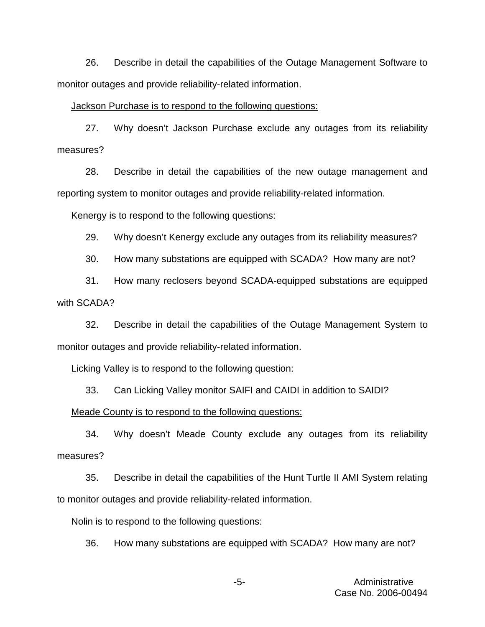26. Describe in detail the capabilities of the Outage Management Software to monitor outages and provide reliability-related information.

#### Jackson Purchase is to respond to the following questions:

27. Why doesn't Jackson Purchase exclude any outages from its reliability measures?

28. Describe in detail the capabilities of the new outage management and reporting system to monitor outages and provide reliability-related information.

#### Kenergy is to respond to the following questions:

29. Why doesn't Kenergy exclude any outages from its reliability measures?

30. How many substations are equipped with SCADA? How many are not?

31. How many reclosers beyond SCADA-equipped substations are equipped with SCADA?

32. Describe in detail the capabilities of the Outage Management System to monitor outages and provide reliability-related information.

#### Licking Valley is to respond to the following question:

33. Can Licking Valley monitor SAIFI and CAIDI in addition to SAIDI?

#### Meade County is to respond to the following questions:

34. Why doesn't Meade County exclude any outages from its reliability measures?

35. Describe in detail the capabilities of the Hunt Turtle II AMI System relating to monitor outages and provide reliability-related information.

### Nolin is to respond to the following questions:

36. How many substations are equipped with SCADA? How many are not?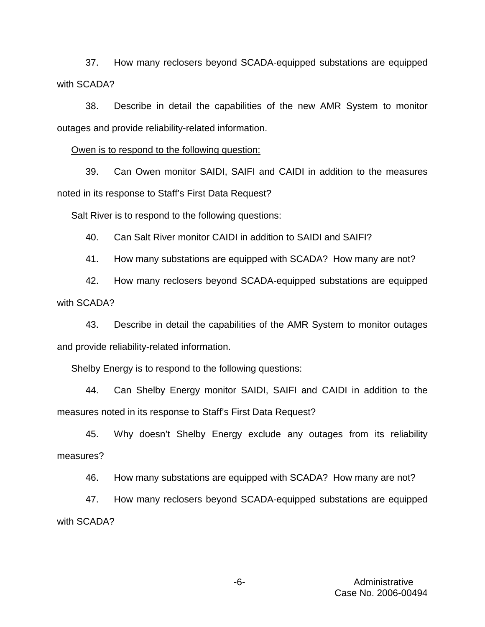37. How many reclosers beyond SCADA-equipped substations are equipped with SCADA?

38. Describe in detail the capabilities of the new AMR System to monitor outages and provide reliability-related information.

Owen is to respond to the following question:

39. Can Owen monitor SAIDI, SAIFI and CAIDI in addition to the measures noted in its response to Staff's First Data Request?

#### Salt River is to respond to the following questions:

40. Can Salt River monitor CAIDI in addition to SAIDI and SAIFI?

41. How many substations are equipped with SCADA? How many are not?

42. How many reclosers beyond SCADA-equipped substations are equipped with SCADA?

43. Describe in detail the capabilities of the AMR System to monitor outages and provide reliability-related information.

#### Shelby Energy is to respond to the following questions:

44. Can Shelby Energy monitor SAIDI, SAIFI and CAIDI in addition to the measures noted in its response to Staff's First Data Request?

45. Why doesn't Shelby Energy exclude any outages from its reliability measures?

46. How many substations are equipped with SCADA? How many are not?

47. How many reclosers beyond SCADA-equipped substations are equipped with SCADA?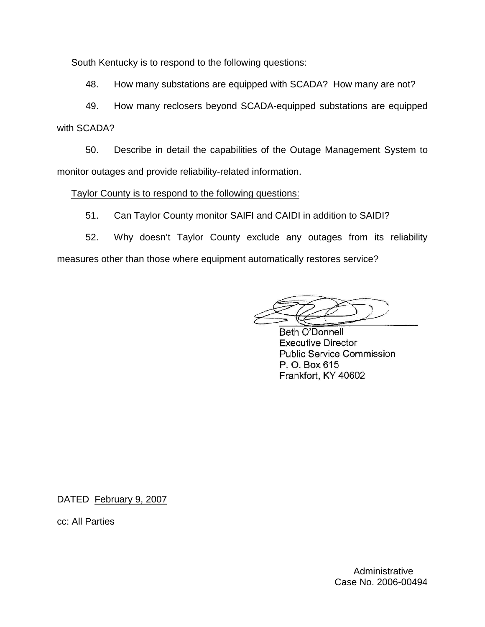## South Kentucky is to respond to the following questions:

48. How many substations are equipped with SCADA? How many are not?

49. How many reclosers beyond SCADA-equipped substations are equipped with SCADA?

50. Describe in detail the capabilities of the Outage Management System to monitor outages and provide reliability-related information.

## Taylor County is to respond to the following questions:

51. Can Taylor County monitor SAIFI and CAIDI in addition to SAIDI?

52. Why doesn't Taylor County exclude any outages from its reliability measures other than those where equipment automatically restores service?

**Beth O'Donnell Executive Director Public Service Commission** P. O. Box 615 Frankfort, KY 40602

DATED February 9, 2007

cc: All Parties

**Administrative** Case No. 2006-00494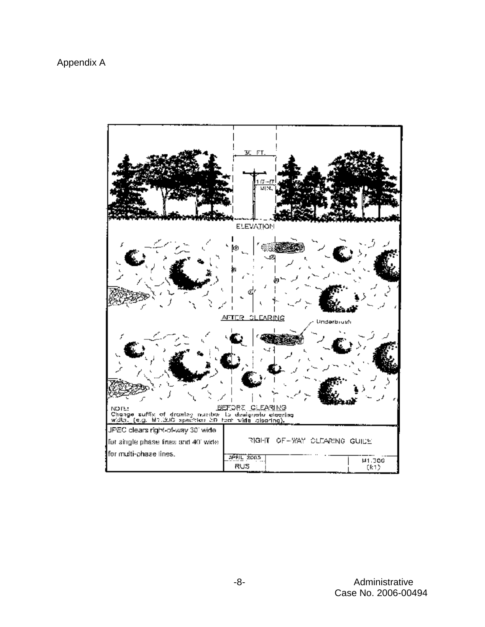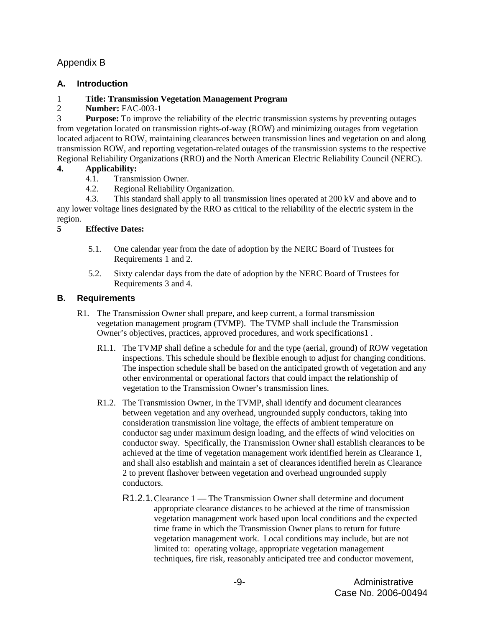## Appendix B

## **A. Introduction**

## 1 **Title: Transmission Vegetation Management Program**

2 **Number:** FAC-003-1

3 **Purpose:** To improve the reliability of the electric transmission systems by preventing outages from vegetation located on transmission rights-of-way (ROW) and minimizing outages from vegetation located adjacent to ROW, maintaining clearances between transmission lines and vegetation on and along transmission ROW, and reporting vegetation-related outages of the transmission systems to the respective Regional Reliability Organizations (RRO) and the North American Electric Reliability Council (NERC).

### **4. Applicability:**

- 4.1. Transmission Owner.
- 4.2. Regional Reliability Organization.

4.3. This standard shall apply to all transmission lines operated at 200 kV and above and to any lower voltage lines designated by the RRO as critical to the reliability of the electric system in the region.

### **5 Effective Dates:**

- 5.1. One calendar year from the date of adoption by the NERC Board of Trustees for Requirements 1 and 2.
- 5.2. Sixty calendar days from the date of adoption by the NERC Board of Trustees for Requirements 3 and 4.

### **B. Requirements**

- R1. The Transmission Owner shall prepare, and keep current, a formal transmission vegetation management program (TVMP). The TVMP shall include the Transmission Owner's objectives, practices, approved procedures, and work specifications1 .
	- R1.1. The TVMP shall define a schedule for and the type (aerial, ground) of ROW vegetation inspections. This schedule should be flexible enough to adjust for changing conditions. The inspection schedule shall be based on the anticipated growth of vegetation and any other environmental or operational factors that could impact the relationship of vegetation to the Transmission Owner's transmission lines.
	- R1.2. The Transmission Owner, in the TVMP, shall identify and document clearances between vegetation and any overhead, ungrounded supply conductors, taking into consideration transmission line voltage, the effects of ambient temperature on conductor sag under maximum design loading, and the effects of wind velocities on conductor sway. Specifically, the Transmission Owner shall establish clearances to be achieved at the time of vegetation management work identified herein as Clearance 1, and shall also establish and maintain a set of clearances identified herein as Clearance 2 to prevent flashover between vegetation and overhead ungrounded supply conductors.
		- R1.2.1.Clearance 1 The Transmission Owner shall determine and document appropriate clearance distances to be achieved at the time of transmission vegetation management work based upon local conditions and the expected time frame in which the Transmission Owner plans to return for future vegetation management work. Local conditions may include, but are not limited to: operating voltage, appropriate vegetation management techniques, fire risk, reasonably anticipated tree and conductor movement,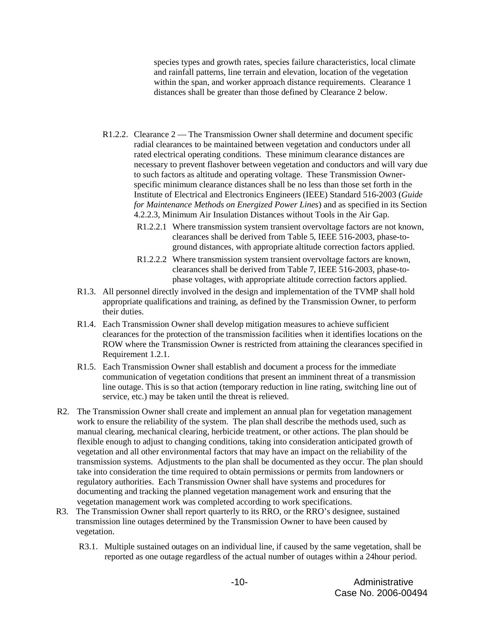species types and growth rates, species failure characteristics, local climate and rainfall patterns, line terrain and elevation, location of the vegetation within the span, and worker approach distance requirements. Clearance 1 distances shall be greater than those defined by Clearance 2 below.

- R1.2.2. Clearance 2 The Transmission Owner shall determine and document specific radial clearances to be maintained between vegetation and conductors under all rated electrical operating conditions. These minimum clearance distances are necessary to prevent flashover between vegetation and conductors and will vary due to such factors as altitude and operating voltage. These Transmission Ownerspecific minimum clearance distances shall be no less than those set forth in the Institute of Electrical and Electronics Engineers (IEEE) Standard 516-2003 (*Guide for Maintenance Methods on Energized Power Lines*) and as specified in its Section 4.2.2.3, Minimum Air Insulation Distances without Tools in the Air Gap.
	- R1.2.2.1 Where transmission system transient overvoltage factors are not known, clearances shall be derived from Table 5, IEEE 516-2003, phase-toground distances, with appropriate altitude correction factors applied.
	- R1.2.2.2 Where transmission system transient overvoltage factors are known, clearances shall be derived from Table 7, IEEE 516-2003, phase-tophase voltages, with appropriate altitude correction factors applied.
- R1.3. All personnel directly involved in the design and implementation of the TVMP shall hold appropriate qualifications and training, as defined by the Transmission Owner, to perform their duties.
- R1.4. Each Transmission Owner shall develop mitigation measures to achieve sufficient clearances for the protection of the transmission facilities when it identifies locations on the ROW where the Transmission Owner is restricted from attaining the clearances specified in Requirement 1.2.1.
- R1.5. Each Transmission Owner shall establish and document a process for the immediate communication of vegetation conditions that present an imminent threat of a transmission line outage. This is so that action (temporary reduction in line rating, switching line out of service, etc.) may be taken until the threat is relieved.
- R2. The Transmission Owner shall create and implement an annual plan for vegetation management work to ensure the reliability of the system. The plan shall describe the methods used, such as manual clearing, mechanical clearing, herbicide treatment, or other actions. The plan should be flexible enough to adjust to changing conditions, taking into consideration anticipated growth of vegetation and all other environmental factors that may have an impact on the reliability of the transmission systems. Adjustments to the plan shall be documented as they occur. The plan should take into consideration the time required to obtain permissions or permits from landowners or regulatory authorities. Each Transmission Owner shall have systems and procedures for documenting and tracking the planned vegetation management work and ensuring that the vegetation management work was completed according to work specifications.
- R3. The Transmission Owner shall report quarterly to its RRO, or the RRO's designee, sustained transmission line outages determined by the Transmission Owner to have been caused by vegetation.
	- R3.1. Multiple sustained outages on an individual line, if caused by the same vegetation, shall be reported as one outage regardless of the actual number of outages within a 24hour period.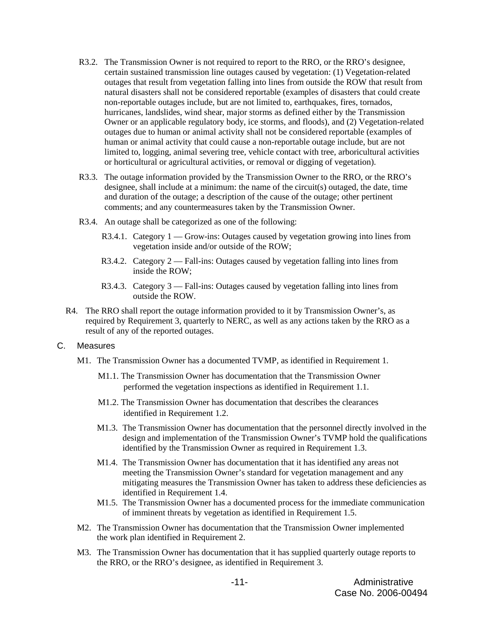- R3.2. The Transmission Owner is not required to report to the RRO, or the RRO's designee, certain sustained transmission line outages caused by vegetation: (1) Vegetation-related outages that result from vegetation falling into lines from outside the ROW that result from natural disasters shall not be considered reportable (examples of disasters that could create non-reportable outages include, but are not limited to, earthquakes, fires, tornados, hurricanes, landslides, wind shear, major storms as defined either by the Transmission Owner or an applicable regulatory body, ice storms, and floods), and (2) Vegetation-related outages due to human or animal activity shall not be considered reportable (examples of human or animal activity that could cause a non-reportable outage include, but are not limited to, logging, animal severing tree, vehicle contact with tree, arboricultural activities or horticultural or agricultural activities, or removal or digging of vegetation).
- R3.3. The outage information provided by the Transmission Owner to the RRO, or the RRO's designee, shall include at a minimum: the name of the circuit(s) outaged, the date, time and duration of the outage; a description of the cause of the outage; other pertinent comments; and any countermeasures taken by the Transmission Owner.
- R3.4. An outage shall be categorized as one of the following:
	- R3.4.1. Category 1 Grow-ins: Outages caused by vegetation growing into lines from vegetation inside and/or outside of the ROW;
	- R3.4.2. Category 2 Fall-ins: Outages caused by vegetation falling into lines from inside the ROW;
	- R3.4.3. Category 3 Fall-ins: Outages caused by vegetation falling into lines from outside the ROW.
- R4. The RRO shall report the outage information provided to it by Transmission Owner's, as required by Requirement 3, quarterly to NERC, as well as any actions taken by the RRO as a result of any of the reported outages.

#### C. Measures

- M1. The Transmission Owner has a documented TVMP, as identified in Requirement 1.
	- M1.1. The Transmission Owner has documentation that the Transmission Owner performed the vegetation inspections as identified in Requirement 1.1.
	- M1.2. The Transmission Owner has documentation that describes the clearances identified in Requirement 1.2.
	- M1.3. The Transmission Owner has documentation that the personnel directly involved in the design and implementation of the Transmission Owner's TVMP hold the qualifications identified by the Transmission Owner as required in Requirement 1.3.
	- M1.4. The Transmission Owner has documentation that it has identified any areas not meeting the Transmission Owner's standard for vegetation management and any mitigating measures the Transmission Owner has taken to address these deficiencies as identified in Requirement 1.4.
	- M1.5. The Transmission Owner has a documented process for the immediate communication of imminent threats by vegetation as identified in Requirement 1.5.
- M2. The Transmission Owner has documentation that the Transmission Owner implemented the work plan identified in Requirement 2.
- M3. The Transmission Owner has documentation that it has supplied quarterly outage reports to the RRO, or the RRO's designee, as identified in Requirement 3.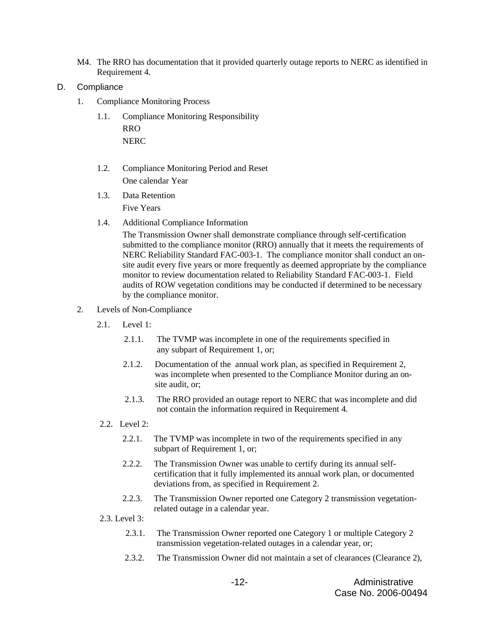- M4. The RRO has documentation that it provided quarterly outage reports to NERC as identified in Requirement 4.
- D. Compliance
	- 1. Compliance Monitoring Process
		- 1.1. Compliance Monitoring Responsibility RRO NERC
		- 1.2. Compliance Monitoring Period and Reset One calendar Year
		- 1.3. Data Retention Five Years
		- 1.4. Additional Compliance Information

The Transmission Owner shall demonstrate compliance through self-certification submitted to the compliance monitor (RRO) annually that it meets the requirements of NERC Reliability Standard FAC-003-1. The compliance monitor shall conduct an onsite audit every five years or more frequently as deemed appropriate by the compliance monitor to review documentation related to Reliability Standard FAC-003-1. Field audits of ROW vegetation conditions may be conducted if determined to be necessary by the compliance monitor.

- 2. Levels of Non-Compliance
	- 2.1. Level 1:
		- 2.1.1. The TVMP was incomplete in one of the requirements specified in any subpart of Requirement 1, or;
		- 2.1.2. Documentation of the annual work plan, as specified in Requirement 2, was incomplete when presented to the Compliance Monitor during an onsite audit, or;
		- 2.1.3. The RRO provided an outage report to NERC that was incomplete and did not contain the information required in Requirement 4.
	- 2.2. Level 2:
		- 2.2.1. The TVMP was incomplete in two of the requirements specified in any subpart of Requirement 1, or;
		- 2.2.2. The Transmission Owner was unable to certify during its annual selfcertification that it fully implemented its annual work plan, or documented deviations from, as specified in Requirement 2.
		- 2.2.3. The Transmission Owner reported one Category 2 transmission vegetationrelated outage in a calendar year.
	- 2.3. Level 3:
		- 2.3.1. The Transmission Owner reported one Category 1 or multiple Category 2 transmission vegetation-related outages in a calendar year, or;
		- 2.3.2. The Transmission Owner did not maintain a set of clearances (Clearance 2),